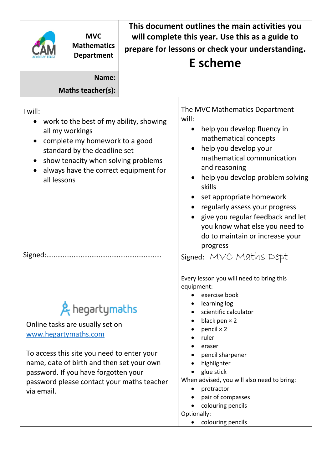|                                                                                                                                                                                                                                                                          | <b>MVC</b><br><b>Mathematics</b><br><b>Department</b> | This document outlines the main activities you<br>will complete this year. Use this as a guide to<br>prepare for lessons or check your understanding. |                                                                                                                                                                                                                                                                                                                                                                                                           |  |  |
|--------------------------------------------------------------------------------------------------------------------------------------------------------------------------------------------------------------------------------------------------------------------------|-------------------------------------------------------|-------------------------------------------------------------------------------------------------------------------------------------------------------|-----------------------------------------------------------------------------------------------------------------------------------------------------------------------------------------------------------------------------------------------------------------------------------------------------------------------------------------------------------------------------------------------------------|--|--|
|                                                                                                                                                                                                                                                                          |                                                       |                                                                                                                                                       | <b>E</b> scheme                                                                                                                                                                                                                                                                                                                                                                                           |  |  |
|                                                                                                                                                                                                                                                                          | Name:                                                 |                                                                                                                                                       |                                                                                                                                                                                                                                                                                                                                                                                                           |  |  |
|                                                                                                                                                                                                                                                                          | Maths teacher(s):                                     |                                                                                                                                                       |                                                                                                                                                                                                                                                                                                                                                                                                           |  |  |
| I will:<br>work to the best of my ability, showing<br>all my workings<br>complete my homework to a good<br>standard by the deadline set<br>show tenacity when solving problems<br>always have the correct equipment for<br>all lessons                                   |                                                       |                                                                                                                                                       | The MVC Mathematics Department<br>will:<br>help you develop fluency in<br>mathematical concepts<br>help you develop your<br>mathematical communication<br>and reasoning<br>help you develop problem solving<br>skills<br>set appropriate homework<br>regularly assess your progress<br>give you regular feedback and let<br>you know what else you need to<br>do to maintain or increase your<br>progress |  |  |
|                                                                                                                                                                                                                                                                          |                                                       |                                                                                                                                                       | Signed: MVC Maths Dept                                                                                                                                                                                                                                                                                                                                                                                    |  |  |
| & hegartymaths<br>Online tasks are usually set on<br>www.hegartymaths.com<br>To access this site you need to enter your<br>name, date of birth and then set your own<br>password. If you have forgotten your<br>password please contact your maths teacher<br>via email. |                                                       |                                                                                                                                                       | Every lesson you will need to bring this<br>equipment:<br>exercise book<br>learning log<br>scientific calculator<br>black pen $\times$ 2<br>pencil $\times$ 2<br>ruler<br>eraser<br>pencil sharpener<br>highlighter<br>glue stick<br>When advised, you will also need to bring:<br>protractor<br>pair of compasses<br>colouring pencils<br>Optionally:<br>colouring pencils                               |  |  |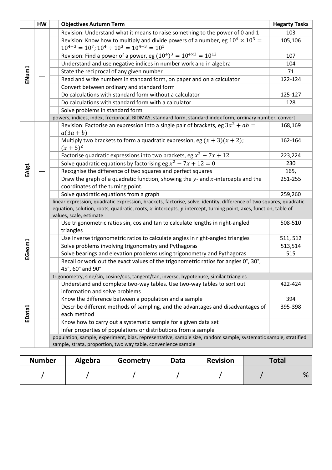|        | HW | <b>Objectives Autumn Term</b>                                                                                                                                                                                                                                     | <b>Hegarty Tasks</b> |
|--------|----|-------------------------------------------------------------------------------------------------------------------------------------------------------------------------------------------------------------------------------------------------------------------|----------------------|
|        |    | Revision: Understand what it means to raise something to the power of 0 and 1                                                                                                                                                                                     | 103                  |
|        |    | Revision: Know how to multiply and divide powers of a number, eg $10^4 \times 10^3 =$<br>$10^{4+3} = 10^7$ ; $10^4 \div 10^3 = 10^{4-3} = 10^1$                                                                                                                   | 105,106              |
|        |    | Revision: Find a power of a power, eg $(10^4)^3 = 10^{4 \times 3} = 10^{12}$                                                                                                                                                                                      | 107                  |
|        |    | Understand and use negative indices in number work and in algebra                                                                                                                                                                                                 | 104                  |
| ENum1  |    | State the reciprocal of any given number                                                                                                                                                                                                                          | 71                   |
|        |    | Read and write numbers in standard form, on paper and on a calculator                                                                                                                                                                                             | 122-124              |
|        |    | Convert between ordinary and standard form                                                                                                                                                                                                                        |                      |
|        |    | Do calculations with standard form without a calculator                                                                                                                                                                                                           | 125-127              |
|        |    | Do calculations with standard form with a calculator                                                                                                                                                                                                              | 128                  |
|        |    | Solve problems in standard form                                                                                                                                                                                                                                   |                      |
|        |    | powers, indices, index, [reciprocal, BIDMAS, standard form, standard index form, ordinary number, convert                                                                                                                                                         |                      |
|        |    | Revision: Factorise an expression into a single pair of brackets, eg $3a^2 + ab =$<br>$a(3a+b)$                                                                                                                                                                   | 168,169              |
|        |    | Multiply two brackets to form a quadratic expression, eg $(x + 3)(x + 2)$ ;<br>$(x+5)^2$                                                                                                                                                                          | 162-164              |
|        |    | Factorise quadratic expressions into two brackets, eg $x^2 - 7x + 12$                                                                                                                                                                                             | 223,224              |
|        |    | Solve quadratic equations by factorising eg $x^2 - 7x + 12 = 0$                                                                                                                                                                                                   | 230                  |
| EAIg1  |    | Recognise the difference of two squares and perfect squares                                                                                                                                                                                                       | 165,                 |
|        |    | Draw the graph of a quadratic function, showing the $y$ - and $x$ -intercepts and the<br>coordinates of the turning point.                                                                                                                                        | 251-255              |
|        |    | Solve quadratic equations from a graph                                                                                                                                                                                                                            | 259,260              |
|        |    | linear expression, quadratic expression, brackets, factorise, solve, identity, difference of two squares, quadratic<br>equation, solution, roots, quadratic, roots, x-intercepts, y-intercept, turning point, axes, function, table of<br>values, scale, estimate |                      |
|        |    | Use trigonometric ratios sin, cos and tan to calculate lengths in right-angled<br>triangles                                                                                                                                                                       | 508-510              |
|        |    | Use inverse trigonometric ratios to calculate angles in right-angled triangles                                                                                                                                                                                    | 511, 512             |
| EGeom1 |    | Solve problems involving trigonometry and Pythagoras                                                                                                                                                                                                              | 513,514              |
|        |    | Solve bearings and elevation problems using trigonometry and Pythagoras                                                                                                                                                                                           | 515                  |
|        |    | Recall or work out the exact values of the trigonometric ratios for angles 0°, 30°,<br>45°, 60° and 90°                                                                                                                                                           |                      |
|        |    | trigonometry, sine/sin, cosine/cos, tangent/tan, inverse, hypotenuse, similar triangles                                                                                                                                                                           |                      |
|        |    | Understand and complete two-way tables. Use two-way tables to sort out<br>information and solve problems                                                                                                                                                          | 422-424              |
|        |    | Know the difference between a population and a sample                                                                                                                                                                                                             | 394                  |
| EData1 |    | Describe different methods of sampling, and the advantages and disadvantages of<br>each method                                                                                                                                                                    | 395-398              |
|        |    | Know how to carry out a systematic sample for a given data set                                                                                                                                                                                                    |                      |
|        |    | Infer properties of populations or distributions from a sample                                                                                                                                                                                                    |                      |
|        |    | population, sample, experiment, bias, representative, sample size, random sample, systematic sample, stratified<br>sample, strata, proportion, two way table, convenience sample                                                                                  |                      |

| <b>Number</b> | Algebra | Geometry | Data | <b>Revision</b> | Total |   |
|---------------|---------|----------|------|-----------------|-------|---|
|               |         |          |      |                 |       | % |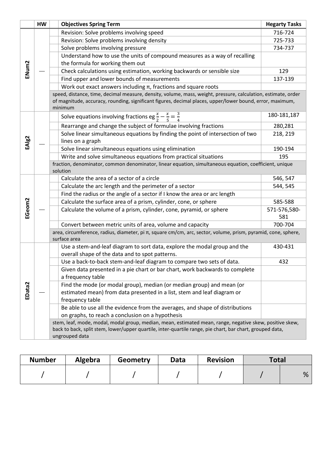|                   | <b>HW</b> |              | <b>Objectives Spring Term</b>                                                                                                                                                                                                           | <b>Hegarty Tasks</b> |  |  |
|-------------------|-----------|--------------|-----------------------------------------------------------------------------------------------------------------------------------------------------------------------------------------------------------------------------------------|----------------------|--|--|
|                   |           |              | Revision: Solve problems involving speed                                                                                                                                                                                                | 716-724              |  |  |
|                   |           |              | Revision: Solve problems involving density                                                                                                                                                                                              | 725-733              |  |  |
|                   |           |              | Solve problems involving pressure                                                                                                                                                                                                       | 734-737              |  |  |
|                   |           |              | Understand how to use the units of compound measures as a way of recalling                                                                                                                                                              |                      |  |  |
|                   |           |              | the formula for working them out                                                                                                                                                                                                        |                      |  |  |
| ENum2             |           |              | Check calculations using estimation, working backwards or sensible size                                                                                                                                                                 | 129                  |  |  |
|                   |           |              | Find upper and lower bounds of measurements                                                                                                                                                                                             | 137-139              |  |  |
|                   |           |              | Work out exact answers including $\pi$ , fractions and square roots                                                                                                                                                                     |                      |  |  |
|                   |           |              | speed, distance, time, decimal measure, density, volume, mass, weight, pressure, calculation, estimate, order<br>of magnitude, accuracy, rounding, significant figures, decimal places, upper/lower bound, error, maximum,<br>minimum   |                      |  |  |
|                   |           |              | Solve equations involving fractions eg $\frac{x}{2} - \frac{x}{5} = \frac{3}{4}$                                                                                                                                                        | 180-181,187          |  |  |
|                   |           |              | Rearrange and change the subject of formulae involving fractions                                                                                                                                                                        | 280,281              |  |  |
|                   |           |              | Solve linear simultaneous equations by finding the point of intersection of two                                                                                                                                                         | 218, 219             |  |  |
| EAlg <sub>2</sub> |           |              | lines on a graph                                                                                                                                                                                                                        |                      |  |  |
|                   |           |              | Solve linear simultaneous equations using elimination                                                                                                                                                                                   | 190-194              |  |  |
|                   |           |              | Write and solve simultaneous equations from practical situations                                                                                                                                                                        | 195                  |  |  |
|                   |           |              | fraction, denominator, common denominator, linear equation, simultaneous equation, coefficient, unique                                                                                                                                  |                      |  |  |
|                   |           |              | solution                                                                                                                                                                                                                                |                      |  |  |
|                   |           |              | Calculate the area of a sector of a circle                                                                                                                                                                                              | 546, 547             |  |  |
|                   |           |              | Calculate the arc length and the perimeter of a sector                                                                                                                                                                                  | 544, 545             |  |  |
|                   |           |              | Find the radius or the angle of a sector if I know the area or arc length                                                                                                                                                               |                      |  |  |
|                   |           |              | Calculate the surface area of a prism, cylinder, cone, or sphere                                                                                                                                                                        | 585-588              |  |  |
| EGeom2            |           |              | Calculate the volume of a prism, cylinder, cone, pyramid, or sphere                                                                                                                                                                     | 571-576,580-<br>581  |  |  |
|                   |           |              | Convert between metric units of area, volume and capacity                                                                                                                                                                               | 700-704              |  |  |
|                   |           |              | area, circumference, radius, diameter, pi π, square cm/cm, arc, sector, volume, prism, pyramid, cone, sphere,                                                                                                                           |                      |  |  |
|                   |           | surface area |                                                                                                                                                                                                                                         |                      |  |  |
|                   |           |              | Use a stem-and-leaf diagram to sort data, explore the modal group and the<br>overall shape of the data and to spot patterns.                                                                                                            | 430-431              |  |  |
|                   |           |              | Use a back-to-back stem-and-leaf diagram to compare two sets of data.                                                                                                                                                                   | 432                  |  |  |
|                   |           |              | Given data presented in a pie chart or bar chart, work backwards to complete                                                                                                                                                            |                      |  |  |
|                   |           |              | a frequency table                                                                                                                                                                                                                       |                      |  |  |
|                   |           |              | Find the mode (or modal group), median (or median group) and mean (or                                                                                                                                                                   |                      |  |  |
| EData2            |           |              | estimated mean) from data presented in a list, stem and leaf diagram or                                                                                                                                                                 |                      |  |  |
|                   |           |              | frequency table                                                                                                                                                                                                                         |                      |  |  |
|                   |           |              | Be able to use all the evidence from the averages, and shape of distributions                                                                                                                                                           |                      |  |  |
|                   |           |              | on graphs, to reach a conclusion on a hypothesis                                                                                                                                                                                        |                      |  |  |
|                   |           |              | stem, leaf, mode, modal, modal group, median, mean, estimated mean, range, negative skew, positive skew,<br>back to back, split stem, lower/upper quartile, inter-quartile range, pie chart, bar chart, grouped data,<br>ungrouped data |                      |  |  |

| <b>Number</b> | Algebra | Geometry | Data | <b>Revision</b> | <b>Total</b> |   |
|---------------|---------|----------|------|-----------------|--------------|---|
|               |         |          |      |                 |              | % |